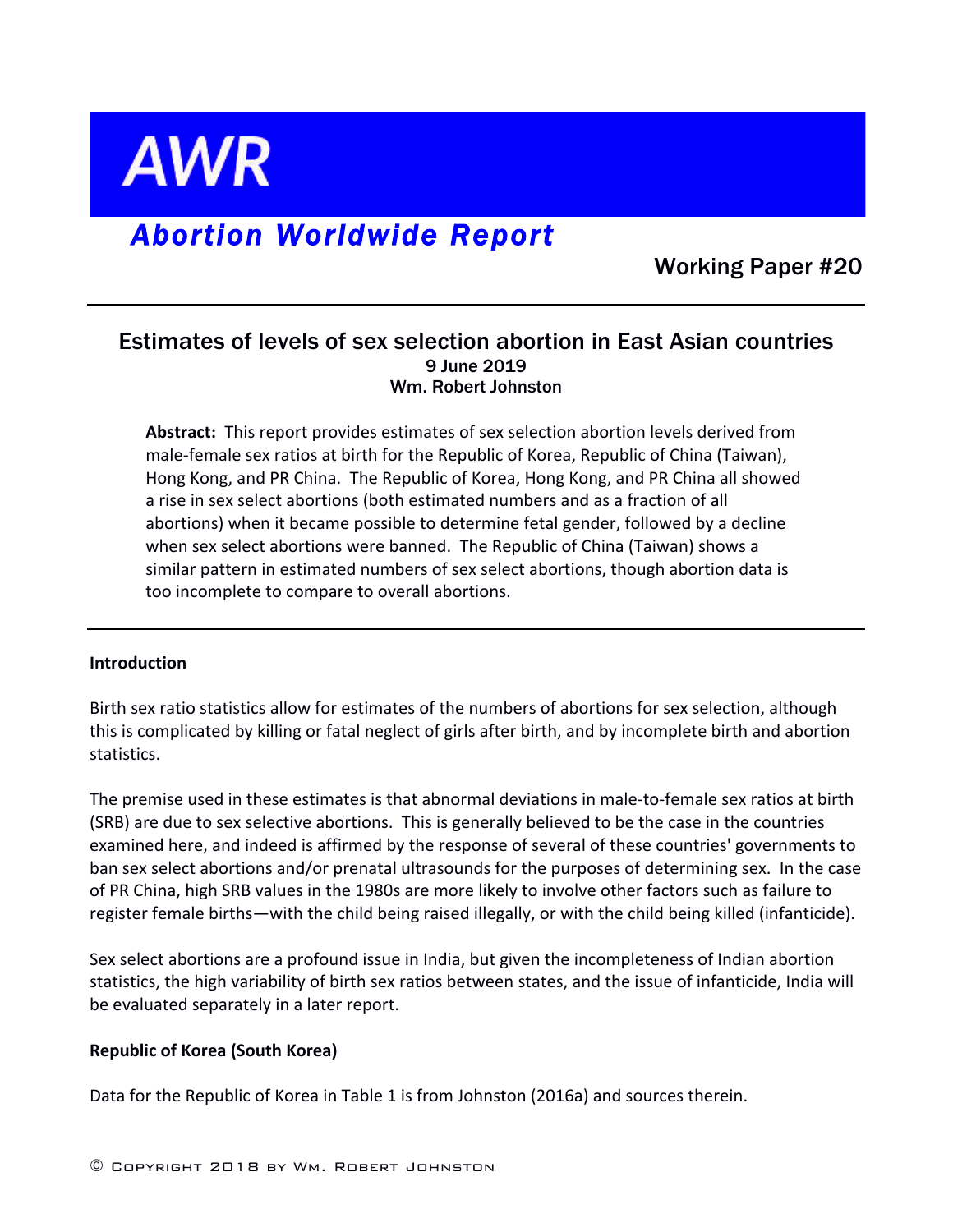

# *Abortion Worldwide Report*

Working Paper #20

# Estimates of levels of sex selection abortion in East Asian countries 9 June 2019 Wm. Robert Johnston

**Abstract:** This report provides estimates of sex selection abortion levels derived from male-female sex ratios at birth for the Republic of Korea, Republic of China (Taiwan), Hong Kong, and PR China. The Republic of Korea, Hong Kong, and PR China all showed a rise in sex select abortions (both estimated numbers and as a fraction of all abortions) when it became possible to determine fetal gender, followed by a decline when sex select abortions were banned. The Republic of China (Taiwan) shows a similar pattern in estimated numbers of sex select abortions, though abortion data is too incomplete to compare to overall abortions.

## **Introduction**

Birth sex ratio statistics allow for estimates of the numbers of abortions for sex selection, although this is complicated by killing or fatal neglect of girls after birth, and by incomplete birth and abortion statistics.

The premise used in these estimates is that abnormal deviations in male-to-female sex ratios at birth (SRB) are due to sex selective abortions. This is generally believed to be the case in the countries examined here, and indeed is affirmed by the response of several of these countries' governments to ban sex select abortions and/or prenatal ultrasounds for the purposes of determining sex. In the case of PR China, high SRB values in the 1980s are more likely to involve other factors such as failure to register female births—with the child being raised illegally, or with the child being killed (infanticide).

Sex select abortions are a profound issue in India, but given the incompleteness of Indian abortion statistics, the high variability of birth sex ratios between states, and the issue of infanticide, India will be evaluated separately in a later report.

## **Republic of Korea (South Korea)**

Data for the Republic of Korea in Table 1 is from Johnston (2016a) and sources therein.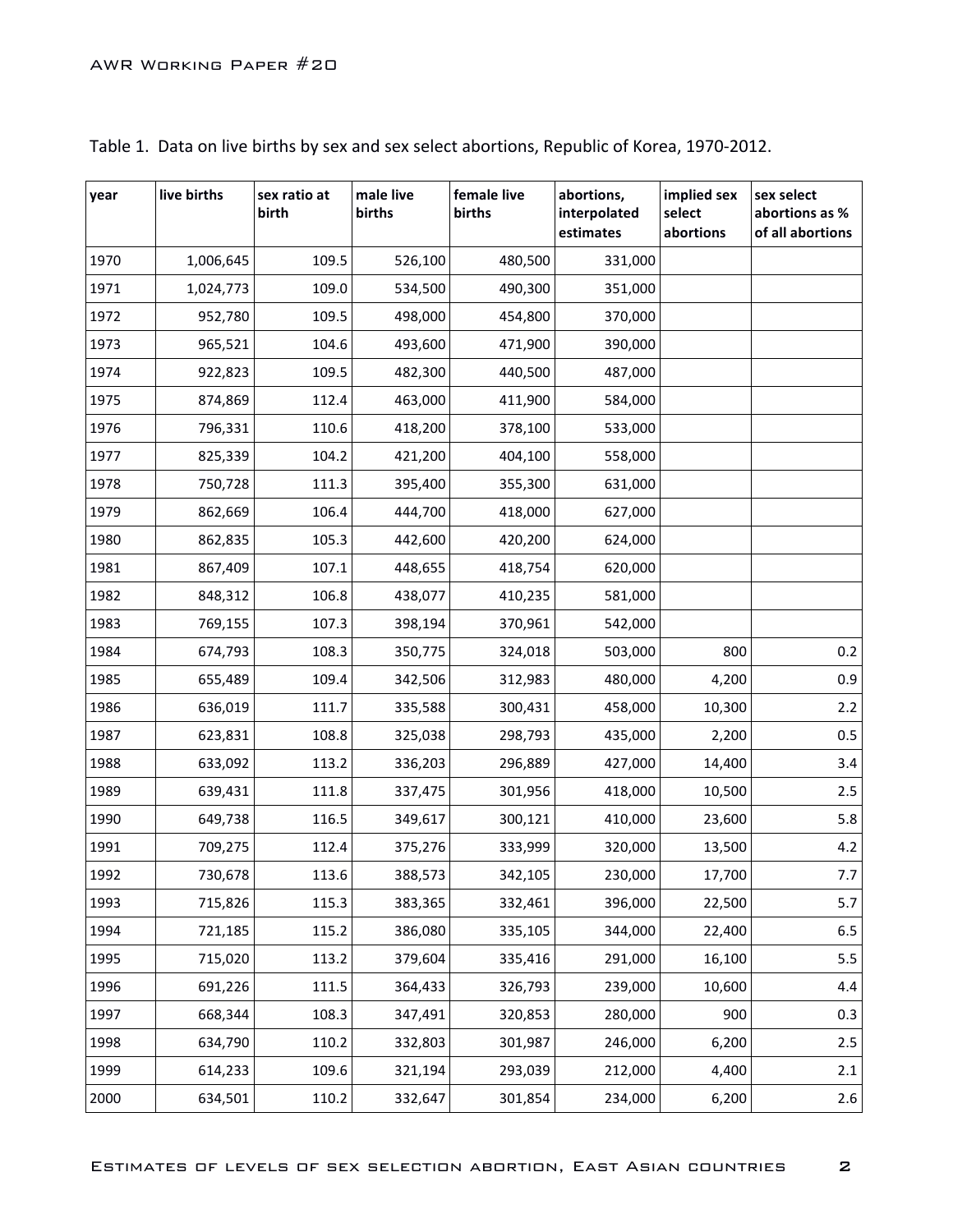| year | live births | sex ratio at<br>birth | male live<br>births | female live<br>births | abortions,<br>interpolated<br>estimates | implied sex<br>select<br>abortions | sex select<br>abortions as %<br>of all abortions |
|------|-------------|-----------------------|---------------------|-----------------------|-----------------------------------------|------------------------------------|--------------------------------------------------|
| 1970 | 1,006,645   | 109.5                 | 526,100             | 480,500               | 331,000                                 |                                    |                                                  |
| 1971 | 1,024,773   | 109.0                 | 534,500             | 490,300               | 351,000                                 |                                    |                                                  |
| 1972 | 952,780     | 109.5                 | 498,000             | 454,800               | 370,000                                 |                                    |                                                  |
| 1973 | 965,521     | 104.6                 | 493,600             | 471,900               | 390,000                                 |                                    |                                                  |
| 1974 | 922,823     | 109.5                 | 482,300             | 440,500               | 487,000                                 |                                    |                                                  |
| 1975 | 874,869     | 112.4                 | 463,000             | 411,900               | 584,000                                 |                                    |                                                  |
| 1976 | 796,331     | 110.6                 | 418,200             | 378,100               | 533,000                                 |                                    |                                                  |
| 1977 | 825,339     | 104.2                 | 421,200             | 404,100               | 558,000                                 |                                    |                                                  |
| 1978 | 750,728     | 111.3                 | 395,400             | 355,300               | 631,000                                 |                                    |                                                  |
| 1979 | 862,669     | 106.4                 | 444,700             | 418,000               | 627,000                                 |                                    |                                                  |
| 1980 | 862,835     | 105.3                 | 442,600             | 420,200               | 624,000                                 |                                    |                                                  |
| 1981 | 867,409     | 107.1                 | 448,655             | 418,754               | 620,000                                 |                                    |                                                  |
| 1982 | 848,312     | 106.8                 | 438,077             | 410,235               | 581,000                                 |                                    |                                                  |
| 1983 | 769,155     | 107.3                 | 398,194             | 370,961               | 542,000                                 |                                    |                                                  |
| 1984 | 674,793     | 108.3                 | 350,775             | 324,018               | 503,000                                 | 800                                | 0.2                                              |
| 1985 | 655,489     | 109.4                 | 342,506             | 312,983               | 480,000                                 | 4,200                              | 0.9                                              |
| 1986 | 636,019     | 111.7                 | 335,588             | 300,431               | 458,000                                 | 10,300                             | $2.2$                                            |
| 1987 | 623,831     | 108.8                 | 325,038             | 298,793               | 435,000                                 | 2,200                              | $0.5\,$                                          |
| 1988 | 633,092     | 113.2                 | 336,203             | 296,889               | 427,000                                 | 14,400                             | 3.4                                              |
| 1989 | 639,431     | 111.8                 | 337,475             | 301,956               | 418,000                                 | 10,500                             | 2.5                                              |
| 1990 | 649,738     | 116.5                 | 349,617             | 300,121               | 410,000                                 | 23,600                             | 5.8                                              |
| 1991 | 709,275     | 112.4                 | 375,276             | 333,999               | 320,000                                 | 13,500                             | 4.2                                              |
| 1992 | 730,678     | 113.6                 | 388,573             | 342,105               | 230,000                                 | 17,700                             | 7.7                                              |
| 1993 | 715,826     | 115.3                 | 383,365             | 332,461               | 396,000                                 | 22,500                             | 5.7                                              |
| 1994 | 721,185     | 115.2                 | 386,080             | 335,105               | 344,000                                 | 22,400                             | 6.5                                              |
| 1995 | 715,020     | 113.2                 | 379,604             | 335,416               | 291,000                                 | 16,100                             | 5.5                                              |
| 1996 | 691,226     | 111.5                 | 364,433             | 326,793               | 239,000                                 | 10,600                             | 4.4                                              |
| 1997 | 668,344     | 108.3                 | 347,491             | 320,853               | 280,000                                 | 900                                | 0.3                                              |
| 1998 | 634,790     | 110.2                 | 332,803             | 301,987               | 246,000                                 | 6,200                              | 2.5                                              |
| 1999 | 614,233     | 109.6                 | 321,194             | 293,039               | 212,000                                 | 4,400                              | 2.1                                              |
| 2000 | 634,501     | 110.2                 | 332,647             | 301,854               | 234,000                                 | 6,200                              | 2.6                                              |

Table 1. Data on live births by sex and sex select abortions, Republic of Korea, 1970-2012.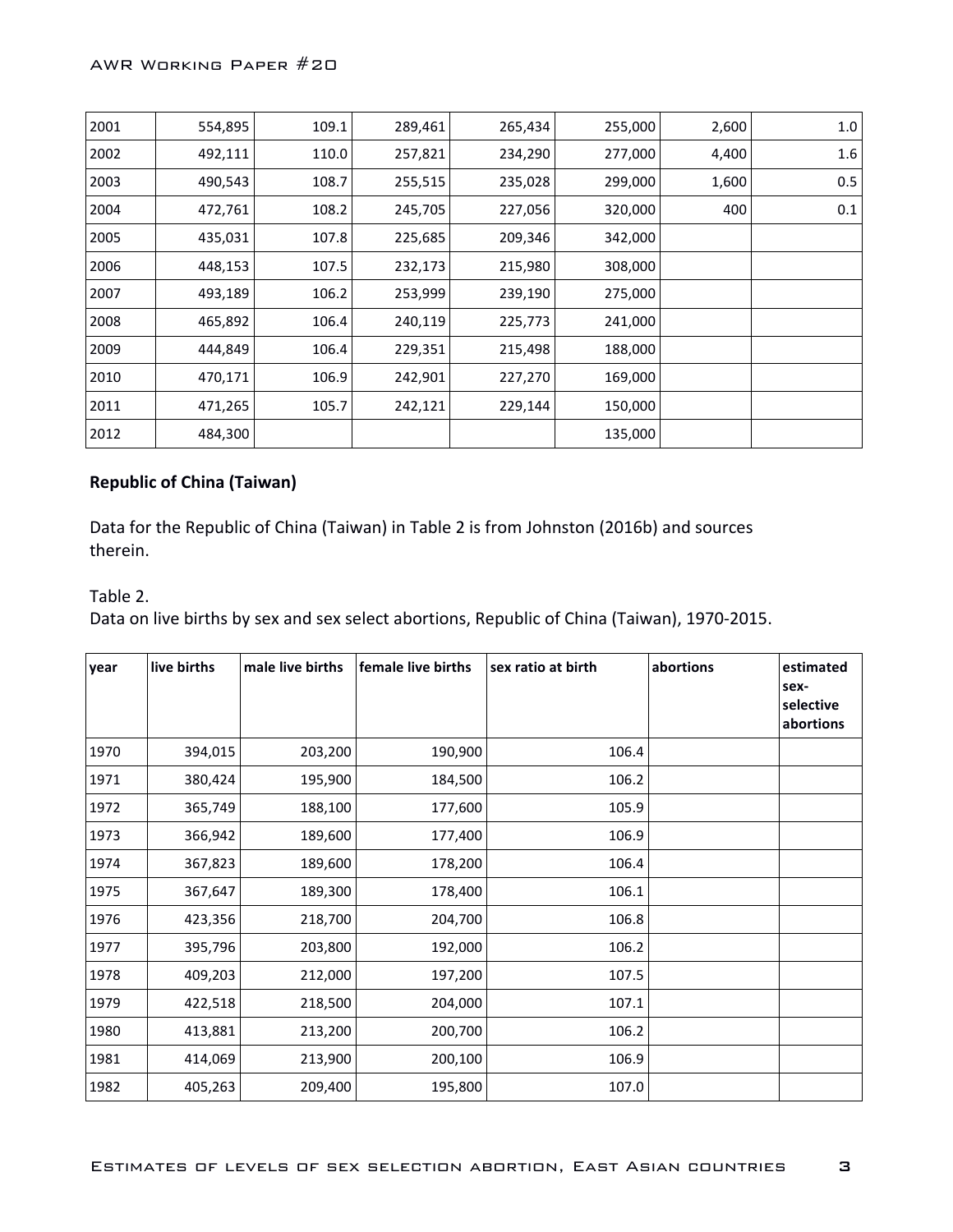| 2001 | 554,895 | 109.1 | 289,461 | 265,434 | 255,000 | 2,600 | 1.0 |
|------|---------|-------|---------|---------|---------|-------|-----|
| 2002 | 492,111 | 110.0 | 257,821 | 234,290 | 277,000 | 4,400 | 1.6 |
| 2003 | 490,543 | 108.7 | 255,515 | 235,028 | 299,000 | 1,600 | 0.5 |
| 2004 | 472,761 | 108.2 | 245,705 | 227,056 | 320,000 | 400   | 0.1 |
| 2005 | 435,031 | 107.8 | 225,685 | 209,346 | 342,000 |       |     |
| 2006 | 448,153 | 107.5 | 232,173 | 215,980 | 308,000 |       |     |
| 2007 | 493,189 | 106.2 | 253,999 | 239,190 | 275,000 |       |     |
| 2008 | 465,892 | 106.4 | 240,119 | 225,773 | 241,000 |       |     |
| 2009 | 444,849 | 106.4 | 229,351 | 215,498 | 188,000 |       |     |
| 2010 | 470,171 | 106.9 | 242,901 | 227,270 | 169,000 |       |     |
| 2011 | 471,265 | 105.7 | 242,121 | 229,144 | 150,000 |       |     |
| 2012 | 484,300 |       |         |         | 135,000 |       |     |

# **Republic of China (Taiwan)**

Data for the Republic of China (Taiwan) in Table 2 is from Johnston (2016b) and sources therein.

Table 2.

Data on live births by sex and sex select abortions, Republic of China (Taiwan), 1970-2015.

| year | live births | male live births | female live births | sex ratio at birth | abortions | estimated<br>sex-<br>selective<br>abortions |
|------|-------------|------------------|--------------------|--------------------|-----------|---------------------------------------------|
| 1970 | 394,015     | 203,200          | 190,900            | 106.4              |           |                                             |
| 1971 | 380,424     | 195,900          | 184,500            | 106.2              |           |                                             |
| 1972 | 365,749     | 188,100          | 177,600            | 105.9              |           |                                             |
| 1973 | 366,942     | 189,600          | 177,400            | 106.9              |           |                                             |
| 1974 | 367,823     | 189,600          | 178,200            | 106.4              |           |                                             |
| 1975 | 367,647     | 189,300          | 178,400            | 106.1              |           |                                             |
| 1976 | 423,356     | 218,700          | 204,700            | 106.8              |           |                                             |
| 1977 | 395,796     | 203,800          | 192,000            | 106.2              |           |                                             |
| 1978 | 409,203     | 212,000          | 197,200            | 107.5              |           |                                             |
| 1979 | 422,518     | 218,500          | 204,000            | 107.1              |           |                                             |
| 1980 | 413,881     | 213,200          | 200,700            | 106.2              |           |                                             |
| 1981 | 414,069     | 213,900          | 200,100            | 106.9              |           |                                             |
| 1982 | 405,263     | 209,400          | 195,800            | 107.0              |           |                                             |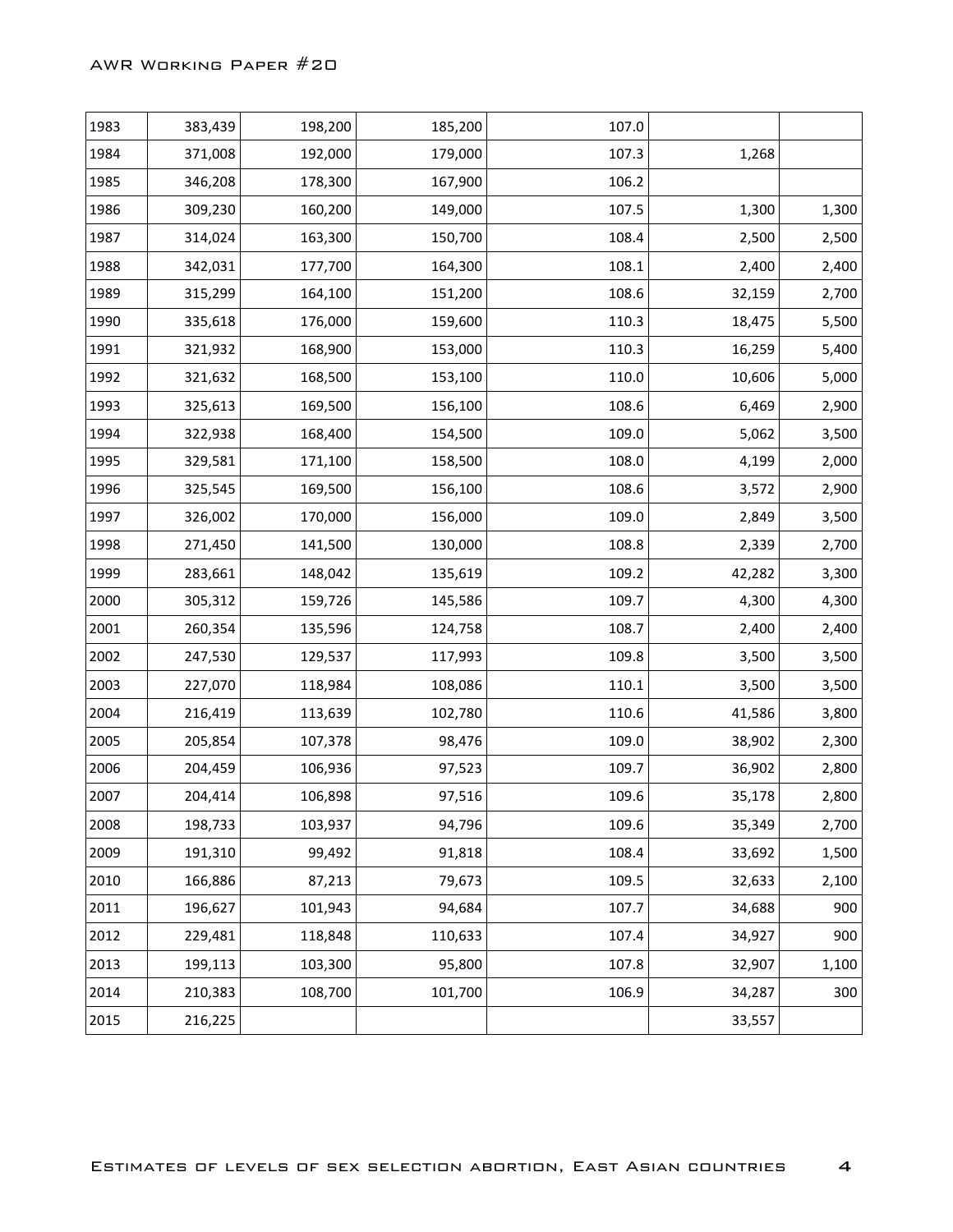| 1984<br>371,008<br>192,000<br>179,000<br>107.3<br>1,268<br>1985<br>346,208<br>178,300<br>167,900<br>106.2<br>1986<br>309,230<br>160,200<br>149,000<br>107.5<br>1,300<br>1987<br>314,024<br>163,300<br>150,700<br>108.4<br>2,500<br>1988<br>342,031<br>177,700<br>108.1<br>2,400<br>164,300<br>1989<br>315,299<br>164,100<br>108.6<br>32,159<br>151,200<br>1990<br>176,000<br>110.3<br>335,618<br>159,600<br>18,475<br>1991<br>321,932<br>168,900<br>110.3<br>16,259<br>153,000<br>1992<br>168,500<br>110.0<br>321,632<br>153,100<br>10,606<br>1993<br>325,613<br>169,500<br>108.6<br>6,469<br>156,100<br>1994<br>322,938<br>168,400<br>109.0<br>5,062<br>154,500<br>1995<br>329,581<br>158,500<br>108.0<br>4,199<br>171,100<br>1996<br>325,545<br>169,500<br>108.6<br>3,572<br>156,100<br>1997<br>326,002<br>170,000<br>109.0<br>2,849<br>156,000<br>1998<br>108.8<br>271,450<br>141,500<br>130,000<br>2,339<br>1999<br>283,661<br>148,042<br>109.2<br>42,282<br>135,619<br>2000<br>305,312<br>159,726<br>109.7<br>4,300<br>145,586<br>2001<br>260,354<br>108.7<br>2,400<br>135,596<br>124,758<br>2002<br>247,530<br>129,537<br>109.8<br>117,993<br>3,500<br>2003<br>227,070<br>118,984<br>108,086<br>110.1<br>3,500<br>2004<br>216,419<br>113,639<br>110.6<br>41,586<br>102,780<br>2005<br>205,854<br>107,378<br>98,476<br>109.0<br>38,902<br>2006<br>204,459<br>106,936<br>97,523<br>109.7<br>36,902<br>2007<br>204,414<br>106,898<br>109.6<br>35,178<br>97,516<br>198,733<br>94,796<br>109.6<br>35,349<br>2008<br>103,937<br>2009<br>191,310<br>99,492<br>91,818<br>108.4<br>33,692<br>2010<br>166,886<br>79,673<br>109.5<br>87,213<br>32,633<br>2011<br>196,627<br>107.7<br>101,943<br>94,684<br>34,688<br>229,481<br>110,633<br>34,927<br>2012<br>118,848<br>107.4<br>2013<br>199,113<br>95,800<br>103,300<br>107.8<br>32,907<br>2014<br>210,383<br>108,700<br>101,700<br>106.9<br>34,287 | 1983 | 383,439 | 198,200 | 185,200 | 107.0 |       |
|------------------------------------------------------------------------------------------------------------------------------------------------------------------------------------------------------------------------------------------------------------------------------------------------------------------------------------------------------------------------------------------------------------------------------------------------------------------------------------------------------------------------------------------------------------------------------------------------------------------------------------------------------------------------------------------------------------------------------------------------------------------------------------------------------------------------------------------------------------------------------------------------------------------------------------------------------------------------------------------------------------------------------------------------------------------------------------------------------------------------------------------------------------------------------------------------------------------------------------------------------------------------------------------------------------------------------------------------------------------------------------------------------------------------------------------------------------------------------------------------------------------------------------------------------------------------------------------------------------------------------------------------------------------------------------------------------------------------------------------------------------------------------------------------------------------------------------------------------------------------------------------------|------|---------|---------|---------|-------|-------|
|                                                                                                                                                                                                                                                                                                                                                                                                                                                                                                                                                                                                                                                                                                                                                                                                                                                                                                                                                                                                                                                                                                                                                                                                                                                                                                                                                                                                                                                                                                                                                                                                                                                                                                                                                                                                                                                                                                |      |         |         |         |       |       |
|                                                                                                                                                                                                                                                                                                                                                                                                                                                                                                                                                                                                                                                                                                                                                                                                                                                                                                                                                                                                                                                                                                                                                                                                                                                                                                                                                                                                                                                                                                                                                                                                                                                                                                                                                                                                                                                                                                |      |         |         |         |       |       |
|                                                                                                                                                                                                                                                                                                                                                                                                                                                                                                                                                                                                                                                                                                                                                                                                                                                                                                                                                                                                                                                                                                                                                                                                                                                                                                                                                                                                                                                                                                                                                                                                                                                                                                                                                                                                                                                                                                |      |         |         |         |       | 1,300 |
|                                                                                                                                                                                                                                                                                                                                                                                                                                                                                                                                                                                                                                                                                                                                                                                                                                                                                                                                                                                                                                                                                                                                                                                                                                                                                                                                                                                                                                                                                                                                                                                                                                                                                                                                                                                                                                                                                                |      |         |         |         |       | 2,500 |
|                                                                                                                                                                                                                                                                                                                                                                                                                                                                                                                                                                                                                                                                                                                                                                                                                                                                                                                                                                                                                                                                                                                                                                                                                                                                                                                                                                                                                                                                                                                                                                                                                                                                                                                                                                                                                                                                                                |      |         |         |         |       | 2,400 |
|                                                                                                                                                                                                                                                                                                                                                                                                                                                                                                                                                                                                                                                                                                                                                                                                                                                                                                                                                                                                                                                                                                                                                                                                                                                                                                                                                                                                                                                                                                                                                                                                                                                                                                                                                                                                                                                                                                |      |         |         |         |       | 2,700 |
|                                                                                                                                                                                                                                                                                                                                                                                                                                                                                                                                                                                                                                                                                                                                                                                                                                                                                                                                                                                                                                                                                                                                                                                                                                                                                                                                                                                                                                                                                                                                                                                                                                                                                                                                                                                                                                                                                                |      |         |         |         |       | 5,500 |
|                                                                                                                                                                                                                                                                                                                                                                                                                                                                                                                                                                                                                                                                                                                                                                                                                                                                                                                                                                                                                                                                                                                                                                                                                                                                                                                                                                                                                                                                                                                                                                                                                                                                                                                                                                                                                                                                                                |      |         |         |         |       | 5,400 |
|                                                                                                                                                                                                                                                                                                                                                                                                                                                                                                                                                                                                                                                                                                                                                                                                                                                                                                                                                                                                                                                                                                                                                                                                                                                                                                                                                                                                                                                                                                                                                                                                                                                                                                                                                                                                                                                                                                |      |         |         |         |       | 5,000 |
|                                                                                                                                                                                                                                                                                                                                                                                                                                                                                                                                                                                                                                                                                                                                                                                                                                                                                                                                                                                                                                                                                                                                                                                                                                                                                                                                                                                                                                                                                                                                                                                                                                                                                                                                                                                                                                                                                                |      |         |         |         |       | 2,900 |
|                                                                                                                                                                                                                                                                                                                                                                                                                                                                                                                                                                                                                                                                                                                                                                                                                                                                                                                                                                                                                                                                                                                                                                                                                                                                                                                                                                                                                                                                                                                                                                                                                                                                                                                                                                                                                                                                                                |      |         |         |         |       | 3,500 |
|                                                                                                                                                                                                                                                                                                                                                                                                                                                                                                                                                                                                                                                                                                                                                                                                                                                                                                                                                                                                                                                                                                                                                                                                                                                                                                                                                                                                                                                                                                                                                                                                                                                                                                                                                                                                                                                                                                |      |         |         |         |       | 2,000 |
|                                                                                                                                                                                                                                                                                                                                                                                                                                                                                                                                                                                                                                                                                                                                                                                                                                                                                                                                                                                                                                                                                                                                                                                                                                                                                                                                                                                                                                                                                                                                                                                                                                                                                                                                                                                                                                                                                                |      |         |         |         |       | 2,900 |
|                                                                                                                                                                                                                                                                                                                                                                                                                                                                                                                                                                                                                                                                                                                                                                                                                                                                                                                                                                                                                                                                                                                                                                                                                                                                                                                                                                                                                                                                                                                                                                                                                                                                                                                                                                                                                                                                                                |      |         |         |         |       | 3,500 |
|                                                                                                                                                                                                                                                                                                                                                                                                                                                                                                                                                                                                                                                                                                                                                                                                                                                                                                                                                                                                                                                                                                                                                                                                                                                                                                                                                                                                                                                                                                                                                                                                                                                                                                                                                                                                                                                                                                |      |         |         |         |       | 2,700 |
|                                                                                                                                                                                                                                                                                                                                                                                                                                                                                                                                                                                                                                                                                                                                                                                                                                                                                                                                                                                                                                                                                                                                                                                                                                                                                                                                                                                                                                                                                                                                                                                                                                                                                                                                                                                                                                                                                                |      |         |         |         |       | 3,300 |
|                                                                                                                                                                                                                                                                                                                                                                                                                                                                                                                                                                                                                                                                                                                                                                                                                                                                                                                                                                                                                                                                                                                                                                                                                                                                                                                                                                                                                                                                                                                                                                                                                                                                                                                                                                                                                                                                                                |      |         |         |         |       | 4,300 |
|                                                                                                                                                                                                                                                                                                                                                                                                                                                                                                                                                                                                                                                                                                                                                                                                                                                                                                                                                                                                                                                                                                                                                                                                                                                                                                                                                                                                                                                                                                                                                                                                                                                                                                                                                                                                                                                                                                |      |         |         |         |       | 2,400 |
|                                                                                                                                                                                                                                                                                                                                                                                                                                                                                                                                                                                                                                                                                                                                                                                                                                                                                                                                                                                                                                                                                                                                                                                                                                                                                                                                                                                                                                                                                                                                                                                                                                                                                                                                                                                                                                                                                                |      |         |         |         |       | 3,500 |
|                                                                                                                                                                                                                                                                                                                                                                                                                                                                                                                                                                                                                                                                                                                                                                                                                                                                                                                                                                                                                                                                                                                                                                                                                                                                                                                                                                                                                                                                                                                                                                                                                                                                                                                                                                                                                                                                                                |      |         |         |         |       | 3,500 |
|                                                                                                                                                                                                                                                                                                                                                                                                                                                                                                                                                                                                                                                                                                                                                                                                                                                                                                                                                                                                                                                                                                                                                                                                                                                                                                                                                                                                                                                                                                                                                                                                                                                                                                                                                                                                                                                                                                |      |         |         |         |       | 3,800 |
|                                                                                                                                                                                                                                                                                                                                                                                                                                                                                                                                                                                                                                                                                                                                                                                                                                                                                                                                                                                                                                                                                                                                                                                                                                                                                                                                                                                                                                                                                                                                                                                                                                                                                                                                                                                                                                                                                                |      |         |         |         |       | 2,300 |
|                                                                                                                                                                                                                                                                                                                                                                                                                                                                                                                                                                                                                                                                                                                                                                                                                                                                                                                                                                                                                                                                                                                                                                                                                                                                                                                                                                                                                                                                                                                                                                                                                                                                                                                                                                                                                                                                                                |      |         |         |         |       | 2,800 |
|                                                                                                                                                                                                                                                                                                                                                                                                                                                                                                                                                                                                                                                                                                                                                                                                                                                                                                                                                                                                                                                                                                                                                                                                                                                                                                                                                                                                                                                                                                                                                                                                                                                                                                                                                                                                                                                                                                |      |         |         |         |       | 2,800 |
|                                                                                                                                                                                                                                                                                                                                                                                                                                                                                                                                                                                                                                                                                                                                                                                                                                                                                                                                                                                                                                                                                                                                                                                                                                                                                                                                                                                                                                                                                                                                                                                                                                                                                                                                                                                                                                                                                                |      |         |         |         |       | 2,700 |
|                                                                                                                                                                                                                                                                                                                                                                                                                                                                                                                                                                                                                                                                                                                                                                                                                                                                                                                                                                                                                                                                                                                                                                                                                                                                                                                                                                                                                                                                                                                                                                                                                                                                                                                                                                                                                                                                                                |      |         |         |         |       | 1,500 |
|                                                                                                                                                                                                                                                                                                                                                                                                                                                                                                                                                                                                                                                                                                                                                                                                                                                                                                                                                                                                                                                                                                                                                                                                                                                                                                                                                                                                                                                                                                                                                                                                                                                                                                                                                                                                                                                                                                |      |         |         |         |       | 2,100 |
|                                                                                                                                                                                                                                                                                                                                                                                                                                                                                                                                                                                                                                                                                                                                                                                                                                                                                                                                                                                                                                                                                                                                                                                                                                                                                                                                                                                                                                                                                                                                                                                                                                                                                                                                                                                                                                                                                                |      |         |         |         |       | 900   |
|                                                                                                                                                                                                                                                                                                                                                                                                                                                                                                                                                                                                                                                                                                                                                                                                                                                                                                                                                                                                                                                                                                                                                                                                                                                                                                                                                                                                                                                                                                                                                                                                                                                                                                                                                                                                                                                                                                |      |         |         |         |       | 900   |
|                                                                                                                                                                                                                                                                                                                                                                                                                                                                                                                                                                                                                                                                                                                                                                                                                                                                                                                                                                                                                                                                                                                                                                                                                                                                                                                                                                                                                                                                                                                                                                                                                                                                                                                                                                                                                                                                                                |      |         |         |         |       | 1,100 |
|                                                                                                                                                                                                                                                                                                                                                                                                                                                                                                                                                                                                                                                                                                                                                                                                                                                                                                                                                                                                                                                                                                                                                                                                                                                                                                                                                                                                                                                                                                                                                                                                                                                                                                                                                                                                                                                                                                |      |         |         |         |       | 300   |
| 33,557<br>2015<br>216,225                                                                                                                                                                                                                                                                                                                                                                                                                                                                                                                                                                                                                                                                                                                                                                                                                                                                                                                                                                                                                                                                                                                                                                                                                                                                                                                                                                                                                                                                                                                                                                                                                                                                                                                                                                                                                                                                      |      |         |         |         |       |       |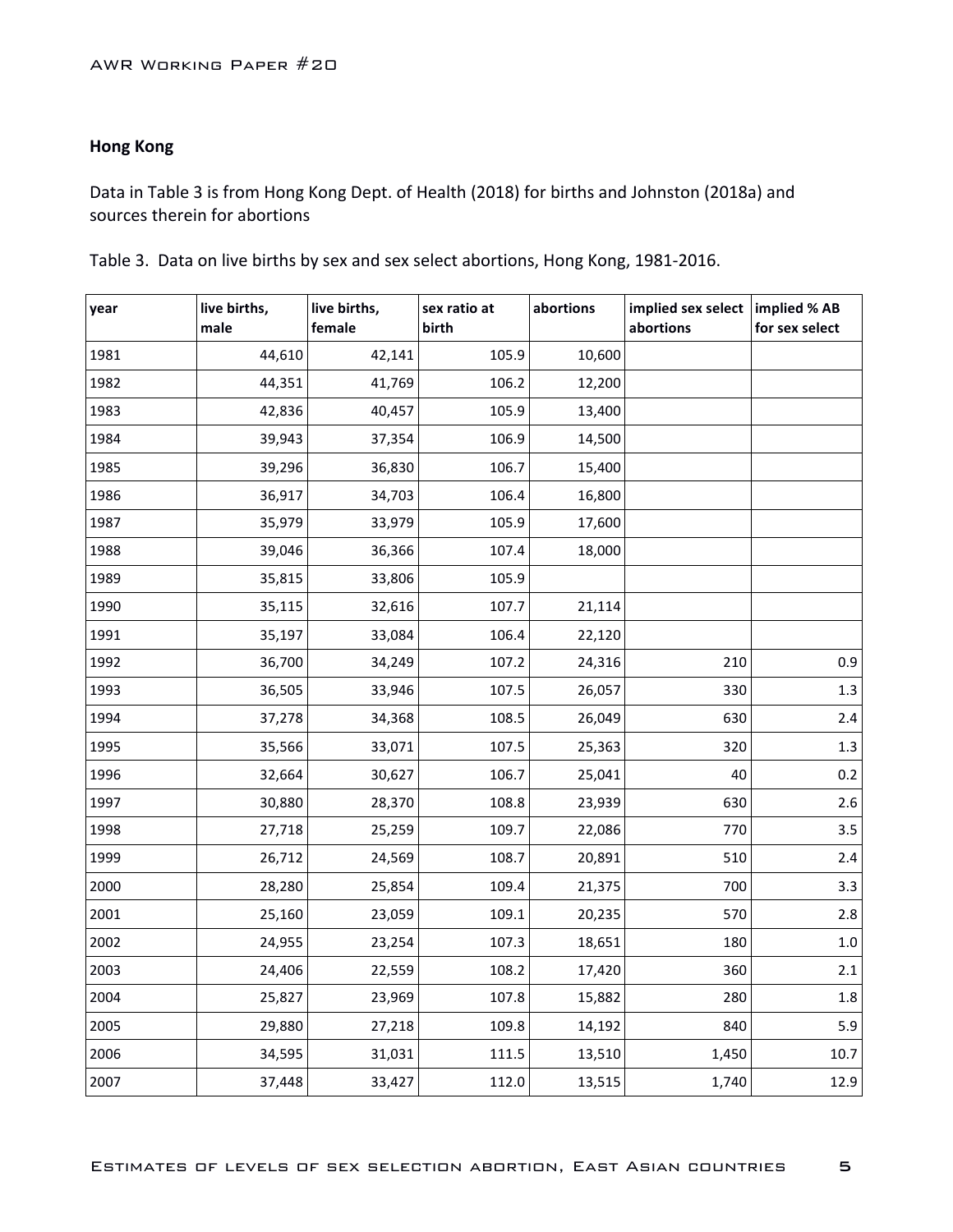# **Hong Kong**

Data in Table 3 is from Hong Kong Dept. of Health (2018) for births and Johnston (2018a) and sources therein for abortions

| year | live births,<br>male | live births,<br>female | sex ratio at<br>birth | abortions | implied sex select<br>abortions | implied % AB<br>for sex select |
|------|----------------------|------------------------|-----------------------|-----------|---------------------------------|--------------------------------|
| 1981 | 44,610               | 42,141                 | 105.9                 | 10,600    |                                 |                                |
| 1982 | 44,351               | 41,769                 | 106.2                 | 12,200    |                                 |                                |
| 1983 | 42,836               | 40,457                 | 105.9                 | 13,400    |                                 |                                |
| 1984 | 39,943               | 37,354                 | 106.9                 | 14,500    |                                 |                                |
| 1985 | 39,296               | 36,830                 | 106.7                 | 15,400    |                                 |                                |
| 1986 | 36,917               | 34,703                 | 106.4                 | 16,800    |                                 |                                |
| 1987 | 35,979               | 33,979                 | 105.9                 | 17,600    |                                 |                                |
| 1988 | 39,046               | 36,366                 | 107.4                 | 18,000    |                                 |                                |
| 1989 | 35,815               | 33,806                 | 105.9                 |           |                                 |                                |
| 1990 | 35,115               | 32,616                 | 107.7                 | 21,114    |                                 |                                |
| 1991 | 35,197               | 33,084                 | 106.4                 | 22,120    |                                 |                                |
| 1992 | 36,700               | 34,249                 | 107.2                 | 24,316    | 210                             | 0.9                            |
| 1993 | 36,505               | 33,946                 | 107.5                 | 26,057    | 330                             | 1.3                            |
| 1994 | 37,278               | 34,368                 | 108.5                 | 26,049    | 630                             | 2.4                            |
| 1995 | 35,566               | 33,071                 | 107.5                 | 25,363    | 320                             | 1.3                            |
| 1996 | 32,664               | 30,627                 | 106.7                 | 25,041    | 40                              | 0.2                            |
| 1997 | 30,880               | 28,370                 | 108.8                 | 23,939    | 630                             | 2.6                            |
| 1998 | 27,718               | 25,259                 | 109.7                 | 22,086    | 770                             | 3.5                            |
| 1999 | 26,712               | 24,569                 | 108.7                 | 20,891    | 510                             | 2.4                            |
| 2000 | 28,280               | 25,854                 | 109.4                 | 21,375    | 700                             | 3.3                            |
| 2001 | 25,160               | 23,059                 | 109.1                 | 20,235    | 570                             | 2.8                            |
| 2002 | 24,955               | 23,254                 | 107.3                 | 18,651    | 180                             | $1.0\,$                        |
| 2003 | 24,406               | 22,559                 | 108.2                 | 17,420    | 360                             | 2.1                            |
| 2004 | 25,827               | 23,969                 | 107.8                 | 15,882    | 280                             | 1.8                            |
| 2005 | 29,880               | 27,218                 | 109.8                 | 14,192    | 840                             | 5.9                            |
| 2006 | 34,595               | 31,031                 | 111.5                 | 13,510    | 1,450                           | 10.7                           |
| 2007 | 37,448               | 33,427                 | 112.0                 | 13,515    | 1,740                           | 12.9                           |

Table 3. Data on live births by sex and sex select abortions, Hong Kong, 1981-2016.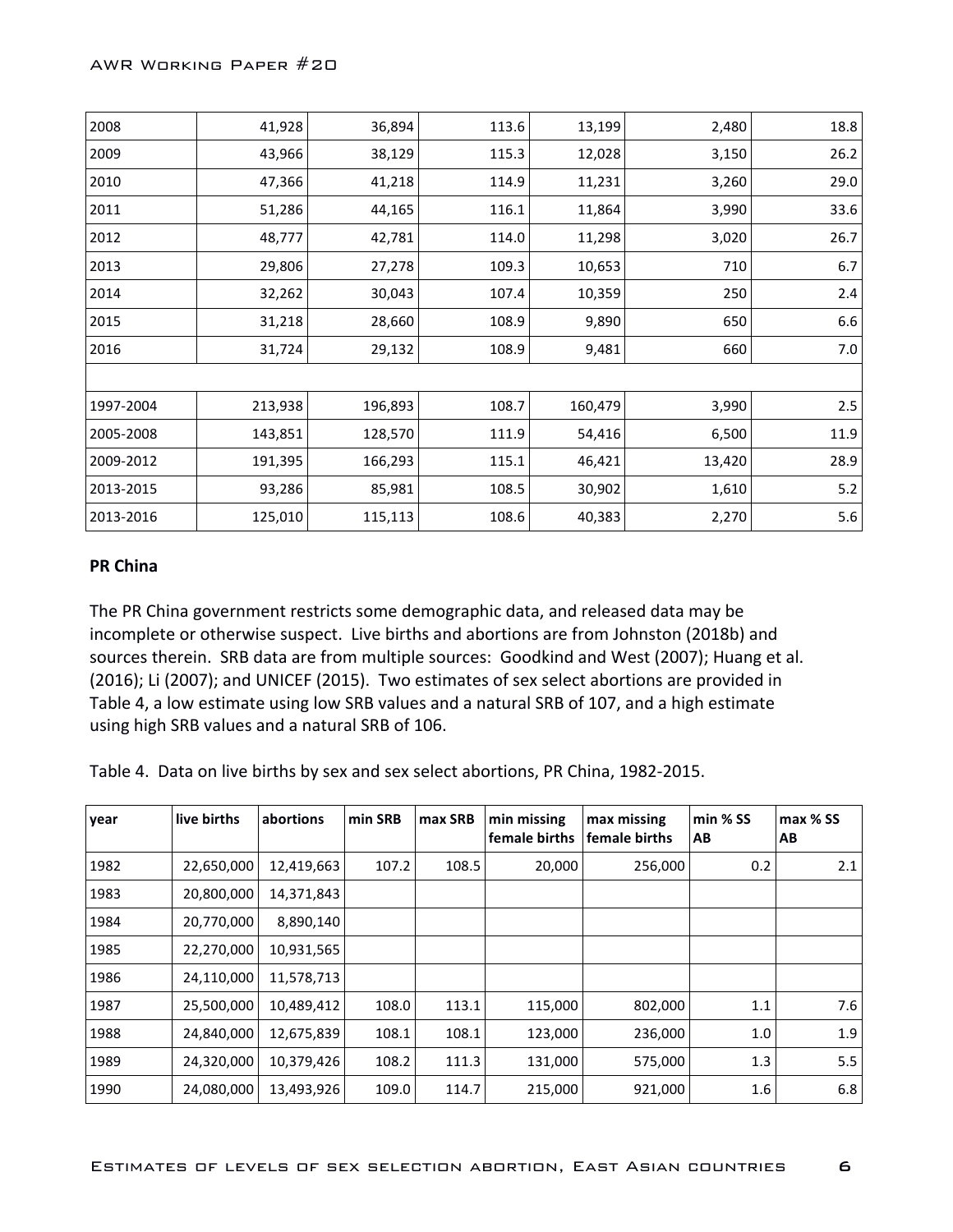| 2008      | 41,928  | 36,894  | 113.6 | 13,199  | 2,480  | 18.8  |
|-----------|---------|---------|-------|---------|--------|-------|
| 2009      | 43,966  | 38,129  | 115.3 | 12,028  | 3,150  | 26.2  |
| 2010      | 47,366  | 41,218  | 114.9 | 11,231  | 3,260  | 29.0  |
| 2011      | 51,286  | 44,165  | 116.1 | 11,864  | 3,990  | 33.6  |
| 2012      | 48,777  | 42,781  | 114.0 | 11,298  | 3,020  | 26.7  |
| 2013      | 29,806  | 27,278  | 109.3 | 10,653  | 710    | 6.7   |
| 2014      | 32,262  | 30,043  | 107.4 | 10,359  | 250    | 2.4   |
| 2015      | 31,218  | 28,660  | 108.9 | 9,890   | 650    | 6.6   |
| 2016      | 31,724  | 29,132  | 108.9 | 9,481   | 660    | 7.0   |
|           |         |         |       |         |        |       |
| 1997-2004 | 213,938 | 196,893 | 108.7 | 160,479 | 3,990  | 2.5   |
| 2005-2008 | 143,851 | 128,570 | 111.9 | 54,416  | 6,500  | 11.9  |
| 2009-2012 | 191,395 | 166,293 | 115.1 | 46,421  | 13,420 | 28.9  |
| 2013-2015 | 93,286  | 85,981  | 108.5 | 30,902  | 1,610  | $5.2$ |
| 2013-2016 | 125,010 | 115,113 | 108.6 | 40,383  | 2,270  | 5.6   |

## **PR China**

The PR China government restricts some demographic data, and released data may be incomplete or otherwise suspect. Live births and abortions are from Johnston (2018b) and sources therein. SRB data are from multiple sources: Goodkind and West (2007); Huang et al. (2016); Li (2007); and UNICEF (2015). Two estimates of sex select abortions are provided in Table 4, a low estimate using low SRB values and a natural SRB of 107, and a high estimate using high SRB values and a natural SRB of 106.

Table 4. Data on live births by sex and sex select abortions, PR China, 1982-2015.

| year | live births | abortions  | min SRB | max SRB | min missing<br>female births | max missing<br>female births | $min %$ SS<br>AВ | max % SS<br>AB |
|------|-------------|------------|---------|---------|------------------------------|------------------------------|------------------|----------------|
| 1982 | 22,650,000  | 12,419,663 | 107.2   | 108.5   | 20,000                       | 256,000                      | 0.2              | 2.1            |
| 1983 | 20,800,000  | 14,371,843 |         |         |                              |                              |                  |                |
| 1984 | 20,770,000  | 8,890,140  |         |         |                              |                              |                  |                |
| 1985 | 22,270,000  | 10,931,565 |         |         |                              |                              |                  |                |
| 1986 | 24,110,000  | 11,578,713 |         |         |                              |                              |                  |                |
| 1987 | 25,500,000  | 10,489,412 | 108.0   | 113.1   | 115,000                      | 802,000                      | 1.1              | 7.6            |
| 1988 | 24,840,000  | 12,675,839 | 108.1   | 108.1   | 123,000                      | 236,000                      | 1.0              | 1.9            |
| 1989 | 24,320,000  | 10,379,426 | 108.2   | 111.3   | 131,000                      | 575,000                      | 1.3              | 5.5            |
| 1990 | 24,080,000  | 13,493,926 | 109.0   | 114.7   | 215,000                      | 921,000                      | 1.6              | 6.8            |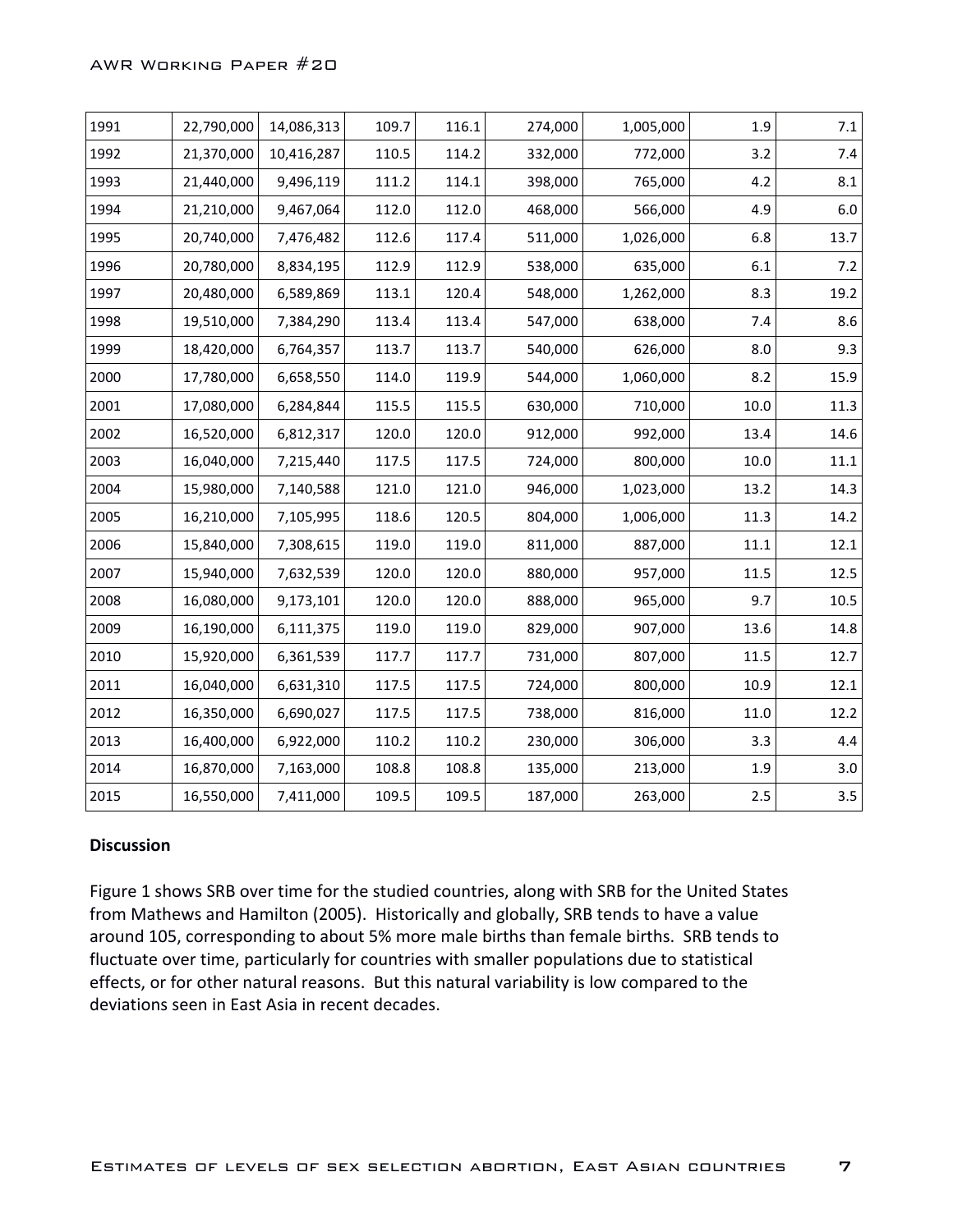#### AWR Working Paper #20

| 1991 | 22,790,000 | 14,086,313 | 109.7 | 116.1 | 274,000 | 1,005,000 | 1.9  | $7.1\,$ |
|------|------------|------------|-------|-------|---------|-----------|------|---------|
| 1992 | 21,370,000 | 10,416,287 | 110.5 | 114.2 | 332,000 | 772,000   | 3.2  | $7.4$   |
| 1993 | 21,440,000 | 9,496,119  | 111.2 | 114.1 | 398,000 | 765,000   | 4.2  | 8.1     |
| 1994 | 21,210,000 | 9,467,064  | 112.0 | 112.0 | 468,000 | 566,000   | 4.9  | $6.0\,$ |
| 1995 | 20,740,000 | 7,476,482  | 112.6 | 117.4 | 511,000 | 1,026,000 | 6.8  | 13.7    |
| 1996 | 20,780,000 | 8,834,195  | 112.9 | 112.9 | 538,000 | 635,000   | 6.1  | $7.2$   |
| 1997 | 20,480,000 | 6,589,869  | 113.1 | 120.4 | 548,000 | 1,262,000 | 8.3  | 19.2    |
| 1998 | 19,510,000 | 7,384,290  | 113.4 | 113.4 | 547,000 | 638,000   | 7.4  | $8.6\,$ |
| 1999 | 18,420,000 | 6,764,357  | 113.7 | 113.7 | 540,000 | 626,000   | 8.0  | 9.3     |
| 2000 | 17,780,000 | 6,658,550  | 114.0 | 119.9 | 544,000 | 1,060,000 | 8.2  | 15.9    |
| 2001 | 17,080,000 | 6,284,844  | 115.5 | 115.5 | 630,000 | 710,000   | 10.0 | 11.3    |
| 2002 | 16,520,000 | 6,812,317  | 120.0 | 120.0 | 912,000 | 992,000   | 13.4 | 14.6    |
| 2003 | 16,040,000 | 7,215,440  | 117.5 | 117.5 | 724,000 | 800,000   | 10.0 | 11.1    |
| 2004 | 15,980,000 | 7,140,588  | 121.0 | 121.0 | 946,000 | 1,023,000 | 13.2 | 14.3    |
| 2005 | 16,210,000 | 7,105,995  | 118.6 | 120.5 | 804,000 | 1,006,000 | 11.3 | 14.2    |
| 2006 | 15,840,000 | 7,308,615  | 119.0 | 119.0 | 811,000 | 887,000   | 11.1 | 12.1    |
| 2007 | 15,940,000 | 7,632,539  | 120.0 | 120.0 | 880,000 | 957,000   | 11.5 | 12.5    |
| 2008 | 16,080,000 | 9,173,101  | 120.0 | 120.0 | 888,000 | 965,000   | 9.7  | 10.5    |
| 2009 | 16,190,000 | 6,111,375  | 119.0 | 119.0 | 829,000 | 907,000   | 13.6 | 14.8    |
| 2010 | 15,920,000 | 6,361,539  | 117.7 | 117.7 | 731,000 | 807,000   | 11.5 | 12.7    |
| 2011 | 16,040,000 | 6,631,310  | 117.5 | 117.5 | 724,000 | 800,000   | 10.9 | 12.1    |
| 2012 | 16,350,000 | 6,690,027  | 117.5 | 117.5 | 738,000 | 816,000   | 11.0 | 12.2    |
| 2013 | 16,400,000 | 6,922,000  | 110.2 | 110.2 | 230,000 | 306,000   | 3.3  | 4.4     |
| 2014 | 16,870,000 | 7,163,000  | 108.8 | 108.8 | 135,000 | 213,000   | 1.9  | $3.0\,$ |
| 2015 | 16,550,000 | 7,411,000  | 109.5 | 109.5 | 187,000 | 263,000   | 2.5  | 3.5     |

#### **Discussion**

Figure 1 shows SRB over time for the studied countries, along with SRB for the United States from Mathews and Hamilton (2005). Historically and globally, SRB tends to have a value around 105, corresponding to about 5% more male births than female births. SRB tends to fluctuate over time, particularly for countries with smaller populations due to statistical effects, or for other natural reasons. But this natural variability is low compared to the deviations seen in East Asia in recent decades.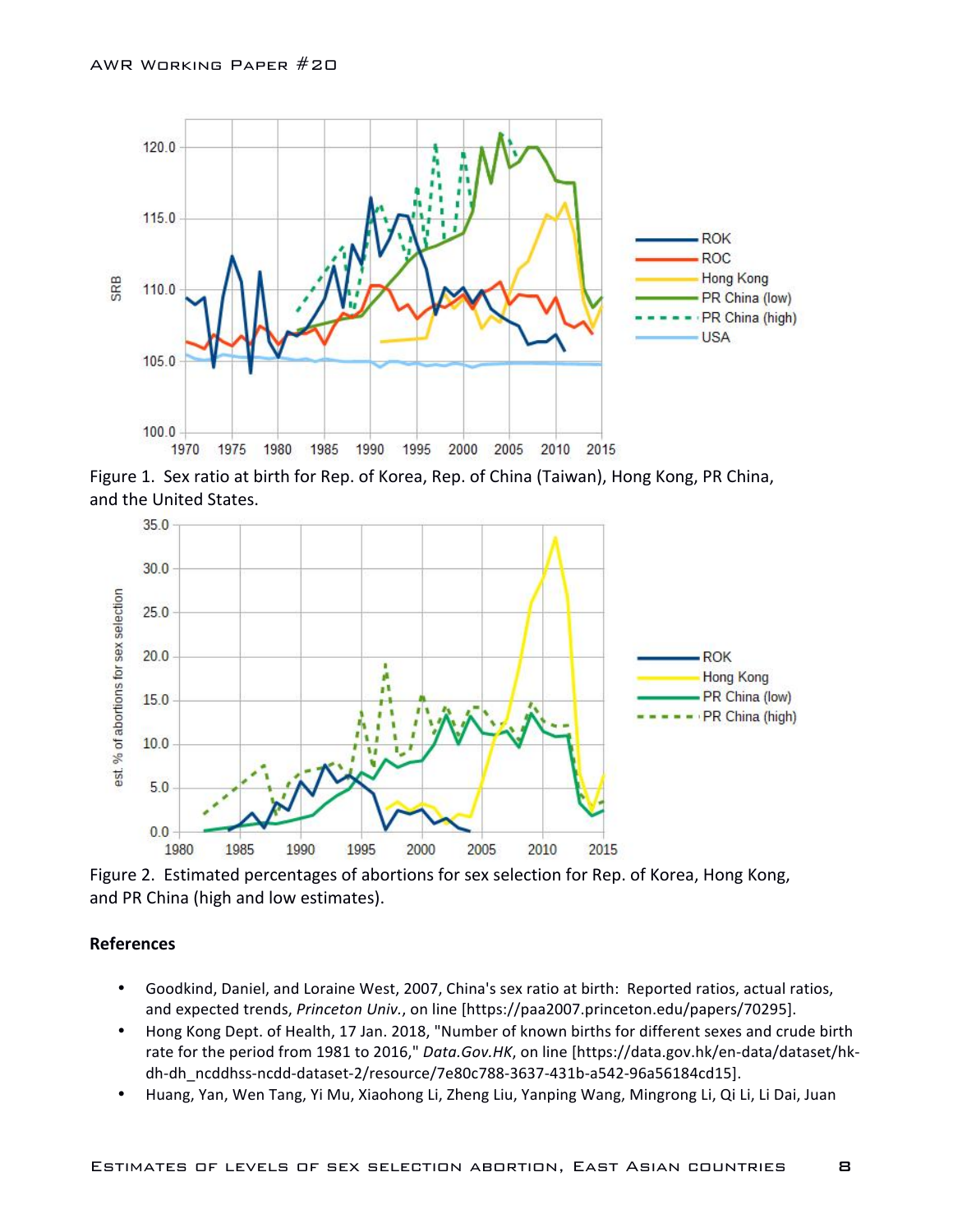

Figure 1. Sex ratio at birth for Rep. of Korea, Rep. of China (Taiwan), Hong Kong, PR China, and the United States.



Figure 2. Estimated percentages of abortions for sex selection for Rep. of Korea, Hong Kong, and PR China (high and low estimates).

#### **References**

- Goodkind, Daniel, and Loraine West, 2007, China's sex ratio at birth: Reported ratios, actual ratios, and expected trends, *Princeton Univ.*, on line [https://paa2007.princeton.edu/papers/70295].
- Hong Kong Dept. of Health, 17 Jan. 2018, "Number of known births for different sexes and crude birth rate for the period from 1981 to 2016," Data.Gov.HK, on line [https://data.gov.hk/en-data/dataset/hkdh-dh\_ncddhss-ncdd-dataset-2/resource/7e80c788-3637-431b-a542-96a56184cd15].
- Huang, Yan, Wen Tang, Yi Mu, Xiaohong Li, Zheng Liu, Yanping Wang, Mingrong Li, Qi Li, Li Dai, Juan